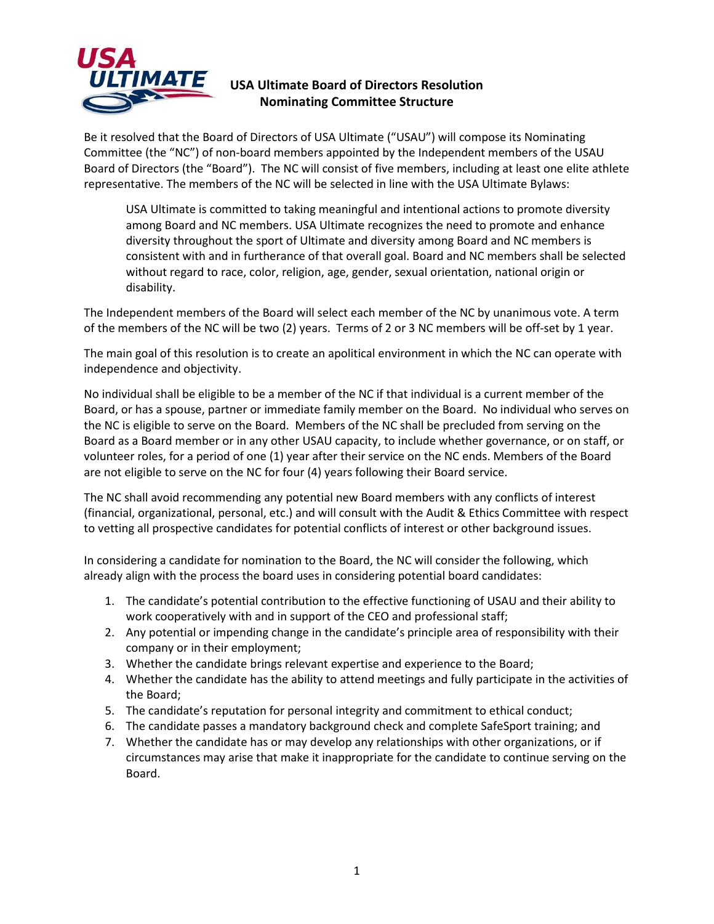

## **USA Ultimate Board of Directors Resolution Nominating Committee Structure**

Be it resolved that the Board of Directors of USA Ultimate ("USAU") will compose its Nominating Committee (the "NC") of non-board members appointed by the Independent members of the USAU Board of Directors (the "Board"). The NC will consist of five members, including at least one elite athlete representative. The members of the NC will be selected in line with the USA Ultimate Bylaws:

USA Ultimate is committed to taking meaningful and intentional actions to promote diversity among Board and NC members. USA Ultimate recognizes the need to promote and enhance diversity throughout the sport of Ultimate and diversity among Board and NC members is consistent with and in furtherance of that overall goal. Board and NC members shall be selected without regard to race, color, religion, age, gender, sexual orientation, national origin or disability.

The Independent members of the Board will select each member of the NC by unanimous vote. A term of the members of the NC will be two (2) years. Terms of 2 or 3 NC members will be off-set by 1 year.

The main goal of this resolution is to create an apolitical environment in which the NC can operate with independence and objectivity.

No individual shall be eligible to be a member of the NC if that individual is a current member of the Board, or has a spouse, partner or immediate family member on the Board. No individual who serves on the NC is eligible to serve on the Board. Members of the NC shall be precluded from serving on the Board as a Board member or in any other USAU capacity, to include whether governance, or on staff, or volunteer roles, for a period of one (1) year after their service on the NC ends. Members of the Board are not eligible to serve on the NC for four (4) years following their Board service.

The NC shall avoid recommending any potential new Board members with any conflicts of interest (financial, organizational, personal, etc.) and will consult with the Audit & Ethics Committee with respect to vetting all prospective candidates for potential conflicts of interest or other background issues.

In considering a candidate for nomination to the Board, the NC will consider the following, which already align with the process the board uses in considering potential board candidates:

- 1. The candidate's potential contribution to the effective functioning of USAU and their ability to work cooperatively with and in support of the CEO and professional staff;
- 2. Any potential or impending change in the candidate's principle area of responsibility with their company or in their employment;
- 3. Whether the candidate brings relevant expertise and experience to the Board;
- 4. Whether the candidate has the ability to attend meetings and fully participate in the activities of the Board;
- 5. The candidate's reputation for personal integrity and commitment to ethical conduct;
- 6. The candidate passes a mandatory background check and complete SafeSport training; and
- 7. Whether the candidate has or may develop any relationships with other organizations, or if circumstances may arise that make it inappropriate for the candidate to continue serving on the Board.